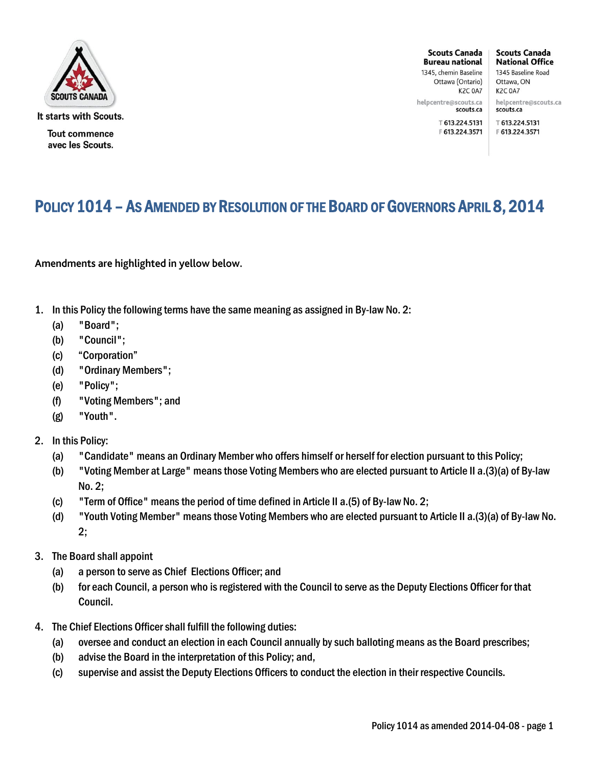

It starts with Scouts.

**Tout commence** avec les Scouts.

**Scouts Canada Bureau national** 1345, chemin Baseline

Ottawa (Ontario) **K2C 0A7** 

helpcentre@scouts.ca scouts.ca

〒 613.224.5131

1345 Baseline Road Ottawa, ON K2C 0A7 helpcentre@scouts.ca scouts.ca

**Scouts Canada** 

**National Office** 

〒 613.224.5131 F 613.224.3571 F 613.224.3571

## POLICY 1014 - AS AMENDED BY RESOLUTION OF THE BOARD OF GOVERNORS APRIL 8, 2014

Amendments are highlighted in yellow below.

- 1. In this Policy the following terms have the same meaning as assigned in By-law No. 2:
	- (a) "Board";
	- (b) "Council";
	- (c) "Corporation"
	- (d) "Ordinary Members";
	- (e) "Policy";
	- (f) "Voting Members"; and
	- (g) "Youth".
- 2. In this Policy:
	- (a) "Candidate" means an Ordinary Member who offers himself or herself for election pursuant to this Policy;
	- (b) "Voting Member at Large" means those Voting Members who are elected pursuant to Article II a.(3)(a) of By-law No. 2;
	- (c) "Term of Office" means the period of time defined in Article II a.(5) of By-law No. 2;
	- (d) "Youth Voting Member" means those Voting Members who are elected pursuant to Article II a.(3)(a) of By-law No. 2;
- 3. The Board shall appoint
	- (a) a person to serve as Chief Elections Officer; and
	- (b) for each Council, a person who is registered with the Council to serve as the Deputy Elections Officer for that Council.
- 4. The Chief Elections Officer shall fulfill the following duties:
	- (a) oversee and conduct an election in each Council annually by such balloting means as the Board prescribes;
	- (b) advise the Board in the interpretation of this Policy; and,
	- (c) supervise and assist the Deputy Elections Officers to conduct the election in their respective Councils.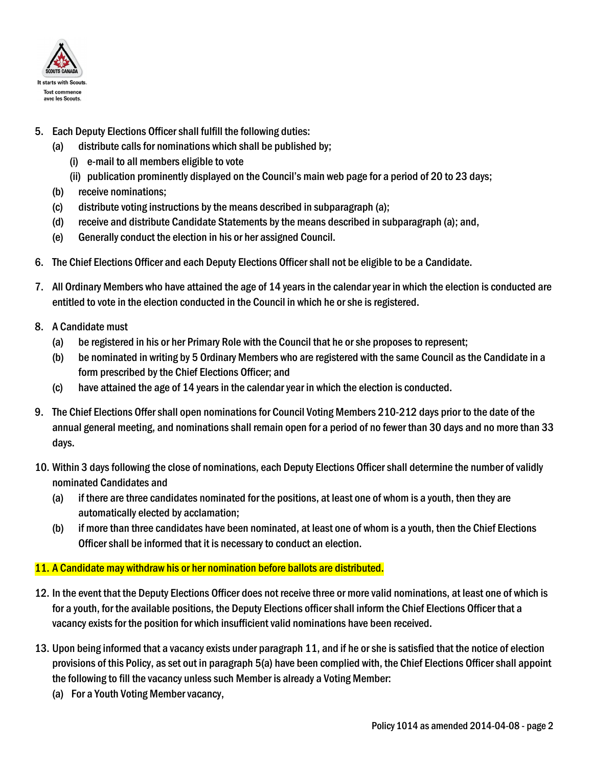

- 5. Each Deputy Elections Officer shall fulfill the following duties:
	- (a) distribute calls for nominations which shall be published by;
		- (i) e-mail to all members eligible to vote
		- (ii) publication prominently displayed on the Council's main web page for a period of 20 to 23 days;
	- (b) receive nominations;
	- (c) distribute voting instructions by the means described in subparagraph (a);
	- (d) receive and distribute Candidate Statements by the means described in subparagraph (a); and,
	- (e) Generally conduct the election in his or her assigned Council.
- 6. The Chief Elections Officer and each Deputy Elections Officer shall not be eligible to be a Candidate.
- 7. All Ordinary Members who have attained the age of 14 years in the calendar year in which the election is conducted are entitled to vote in the election conducted in the Council in which he or she is registered.
- 8. A Candidate must
	- (a) be registered in his or her Primary Role with the Council that he or she proposes to represent;
	- (b) be nominated in writing by 5 Ordinary Members who are registered with the same Council as the Candidate in a form prescribed by the Chief Elections Officer; and
	- (c) have attained the age of 14 years in the calendar year in which the election is conducted.
- 9. The Chief Elections Offer shall open nominations for Council Voting Members 210-212 days prior to the date of the annual general meeting, and nominations shall remain open for a period of no fewer than 30 days and no more than 33 days.
- 10. Within 3 days following the close of nominations, each Deputy Elections Officer shall determine the number of validly nominated Candidates and
	- (a) if there are three candidates nominated for the positions, at least one of whom is a youth, then they are automatically elected by acclamation;
	- (b) if more than three candidates have been nominated, at least one of whom is a youth, then the Chief Elections Officer shall be informed that it is necessary to conduct an election.

### 11. A Candidate may withdraw his or her nomination before ballots are distributed.

- 12. In the event that the Deputy Elections Officer does not receive three or more valid nominations, at least one of which is for a youth, for the available positions, the Deputy Elections officer shall inform the Chief Elections Officer that a vacancy exists for the position for which insufficient valid nominations have been received.
- 13. Upon being informed that a vacancy exists under paragraph 11, and if he or she is satisfied that the notice of election provisions of this Policy, as set out in paragraph 5(a) have been complied with, the Chief Elections Officer shall appoint the following to fill the vacancy unless such Member is already a Voting Member:
	- (a) For a Youth Voting Member vacancy,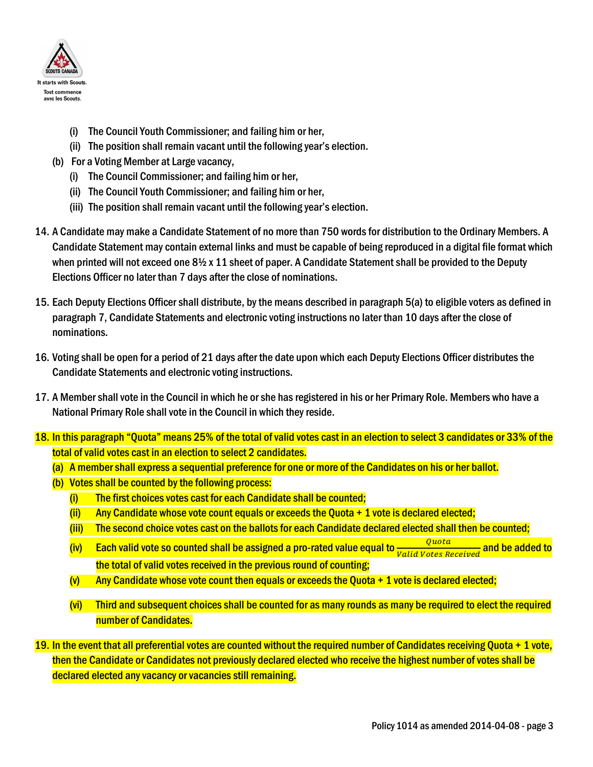

- (i) The Council Youth Commissioner; and failing him or her,
- (ii) The position shall remain vacant until the following year's election.
- (b) For a Voting Member at Large vacancy,
	- (i) The Council Commissioner; and failing him or her,
	- (ii) The Council Youth Commissioner; and failing him or her,
	- (iii) The position shall remain vacant until the following year's election.
- 14. A Candidate may make a Candidate Statement of no more than 750 words for distribution to the Ordinary Members. A Candidate Statement may contain external links and must be capable of being reproduced in a digital file format which when printed will not exceed one 8½ x 11 sheet of paper. A Candidate Statement shall be provided to the Deputy Elections Officer no later than 7 days after the close of nominations.
- 15. Each Deputy Elections Officer shall distribute, by the means described in paragraph 5(a) to eligible voters as defined in paragraph 7, Candidate Statements and electronic voting instructions no later than 10 days after the close of nominations.
- 16. Voting shall be open for a period of 21 days after the date upon which each Deputy Elections Officer distributes the Candidate Statements and electronic voting instructions.
- 17. A Member shall vote in the Council in which he or she has registered in his or her Primary Role. Members who have a National Primary Role shall vote in the Council in which they reside.
- 18. In this paragraph "Quota" means 25% of the total of valid votes cast in an election to select 3 candidates or 33% of the total of valid votes cast in an election to select 2 candidates.
	- (a) A member shall express a sequential preference for one or more of the Candidates on his or her ballot.
	- (b) Votes shall be counted by the following process:
		- (i) The first choices votes cast for each Candidate shall be counted;
		- $(i)$  Any Candidate whose vote count equals or exceeds the Quota  $+1$  vote is declared elected;
		- (iii) The second choice votes cast on the ballots for each Candidate declared elected shall then be counted;
		- (iv) Each valid vote so counted shall be assigned a pro-rated value equal to  $\frac{Quota}{Valid \: Votes \: Received}$  and be added to the total of valid votes received in the previous round of counting;
		- $(v)$  Any Candidate whose vote count then equals or exceeds the Quota  $+1$  vote is declared elected;
		- (vi) Third and subsequent choices shall be counted for as many rounds as many be required to elect the required number of Candidates.
- 19. In the event that all preferential votes are counted without the required number of Candidates receiving Quota  $+1$  vote, then the Candidate or Candidates not previously declared elected who receive the highest number of votes shall be declared elected any vacancy or vacancies still remaining.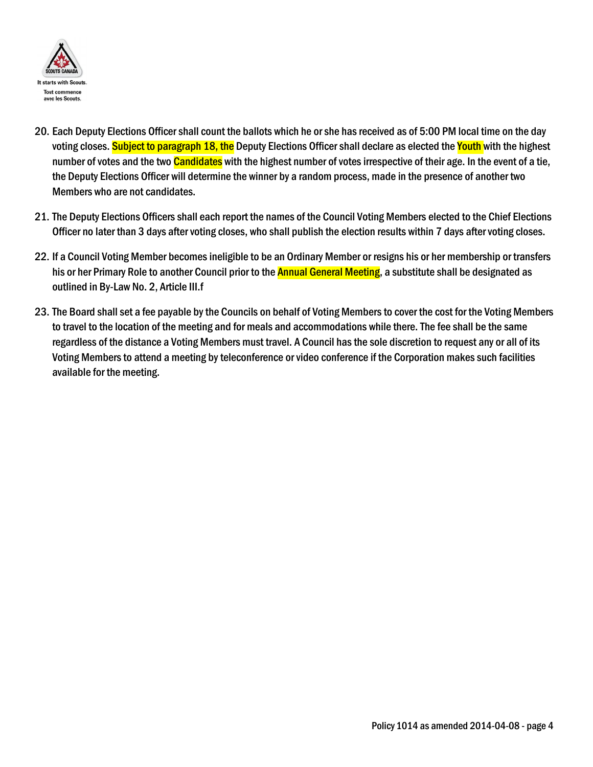

- 20. Each Deputy Elections Officer shall count the ballots which he or she has received as of 5:00 PM local time on the day voting closes. Subject to paragraph 18, the Deputy Elections Officer shall declare as elected the Youth with the highest number of votes and the two **Candidates** with the highest number of votes irrespective of their age. In the event of a tie, the Deputy Elections Officer will determine the winner by a random process, made in the presence of another two Members who are not candidates.
- 21. The Deputy Elections Officers shall each report the names of the Council Voting Members elected to the Chief Elections Officer no later than 3 days after voting closes, who shall publish the election results within 7 days after voting closes.
- 22. If a Council Voting Member becomes ineligible to be an Ordinary Member or resigns his or her membership or transfers his or her Primary Role to another Council prior to the **Annual General Meeting**, a substitute shall be designated as outlined in By-Law No. 2, Article III.f
- 23. The Board shall set a fee payable by the Councils on behalf of Voting Members to cover the cost for the Voting Members to travel to the location of the meeting and for meals and accommodations while there. The fee shall be the same regardless of the distance a Voting Members must travel. A Council has the sole discretion to request any or all of its Voting Members to attend a meeting by teleconference or video conference if the Corporation makes such facilities available for the meeting.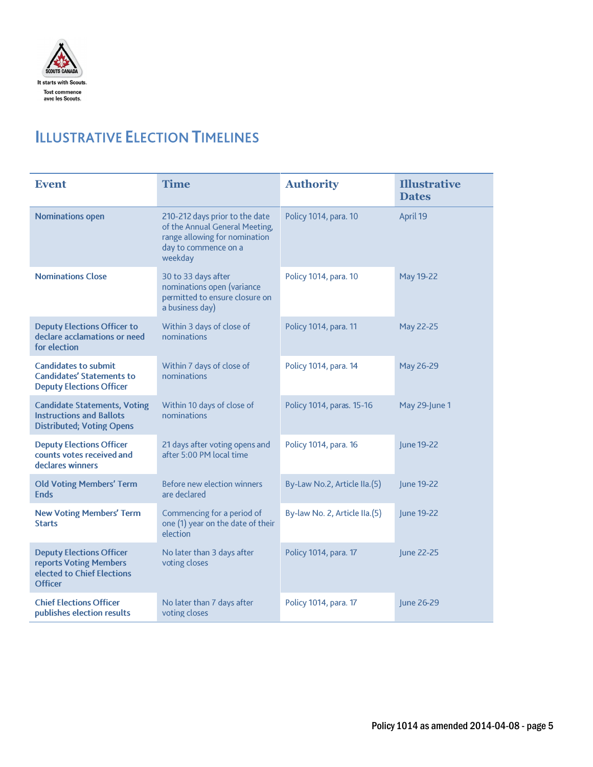

# **ILLUSTRATIVE ELECTION TIMELINES**

| <b>Event</b>                                                                                               | <b>Time</b>                                                                                                                          | <b>Authority</b>              | <b>Illustrative</b><br><b>Dates</b> |
|------------------------------------------------------------------------------------------------------------|--------------------------------------------------------------------------------------------------------------------------------------|-------------------------------|-------------------------------------|
| <b>Nominations open</b>                                                                                    | 210-212 days prior to the date<br>of the Annual General Meeting,<br>range allowing for nomination<br>day to commence on a<br>weekday | Policy 1014, para. 10         | April 19                            |
| <b>Nominations Close</b>                                                                                   | 30 to 33 days after<br>nominations open (variance<br>permitted to ensure closure on<br>a business day)                               | Policy 1014, para. 10         | May 19-22                           |
| <b>Deputy Elections Officer to</b><br>declare acclamations or need<br>for election                         | Within 3 days of close of<br>nominations                                                                                             | Policy 1014, para. 11         | May 22-25                           |
| <b>Candidates to submit</b><br><b>Candidates' Statements to</b><br><b>Deputy Elections Officer</b>         | Within 7 days of close of<br>nominations                                                                                             | Policy 1014, para. 14         | May 26-29                           |
| <b>Candidate Statements, Voting</b><br><b>Instructions and Ballots</b><br><b>Distributed; Voting Opens</b> | Within 10 days of close of<br>nominations                                                                                            | Policy 1014, paras. 15-16     | May 29-June 1                       |
| <b>Deputy Elections Officer</b><br>counts votes received and<br>declares winners                           | 21 days after voting opens and<br>after 5:00 PM local time                                                                           | Policy 1014, para. 16         | June 19-22                          |
| <b>Old Voting Members' Term</b><br><b>Ends</b>                                                             | <b>Before new election winners</b><br>are declared                                                                                   | By-Law No.2, Article IIa.(5)  | June 19-22                          |
| <b>New Voting Members' Term</b><br><b>Starts</b>                                                           | Commencing for a period of<br>one (1) year on the date of their<br>election                                                          | By-law No. 2, Article IIa.(5) | June 19-22                          |
| <b>Deputy Elections Officer</b><br>reports Voting Members<br>elected to Chief Elections<br><b>Officer</b>  | No later than 3 days after<br>voting closes                                                                                          | Policy 1014, para. 17         | June 22-25                          |
| <b>Chief Elections Officer</b><br>publishes election results                                               | No later than 7 days after<br>voting closes                                                                                          | Policy 1014, para. 17         | June 26-29                          |